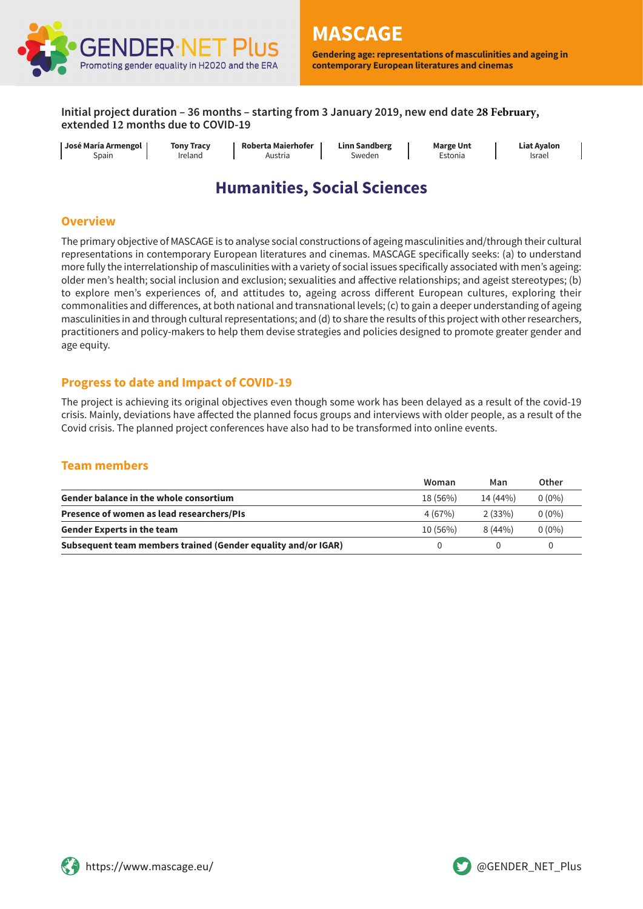

**Gendering age: representations of masculinities and ageing in contemporary European literatures and cinemas**

**Initial project duration – 36 months – starting from 3 January 2019, new end date 28 February, extended 12 months due to COVID-19** 

| I José María Armengol 1 | <b>Tony Tracy</b> | Roberta Maierhofer | <b>Linn Sandberg</b> | <b>Marge Unt</b> | <b>Liat Avalon</b> |
|-------------------------|-------------------|--------------------|----------------------|------------------|--------------------|
| Spain                   | Ireland           | Austria            | Sweden               | Estonia          | Israel             |

# **Humanities, Social Sciences**

#### **Overview**

The primary objective of MASCAGE is to analyse social constructions of ageing masculinities and/through their cultural representations in contemporary European literatures and cinemas. MASCAGE specifically seeks: (a) to understand more fully the interrelationship of masculinities with a variety of social issues specifically associated with men's ageing: older men's health; social inclusion and exclusion; sexualities and affective relationships; and ageist stereotypes; (b) to explore men's experiences of, and attitudes to, ageing across different European cultures, exploring their commonalities and differences, at both national and transnational levels; (c) to gain a deeper understanding of ageing masculinities in and through cultural representations; and (d) to share the results of this project with other researchers, practitioners and policy-makers to help them devise strategies and policies designed to promote greater gender and age equity.

#### **Progress to date and Impact of COVID-19**

The project is achieving its original objectives even though some work has been delayed as a result of the covid-19 crisis. Mainly, deviations have affected the planned focus groups and interviews with older people, as a result of the Covid crisis. The planned project conferences have also had to be transformed into online events.

## **Team members**

|                                                               | Woman    | Man       | Other    |
|---------------------------------------------------------------|----------|-----------|----------|
| <b>Gender balance in the whole consortium</b>                 | 18 (56%) | 14 (44%)  | $0(0\%)$ |
| Presence of women as lead researchers/PIs                     | 4(67%)   | 2(33%)    | $0(0\%)$ |
| <b>Gender Experts in the team</b>                             | 10(56%)  | $8(44\%)$ | $0(0\%)$ |
| Subsequent team members trained (Gender equality and/or IGAR) |          |           |          |